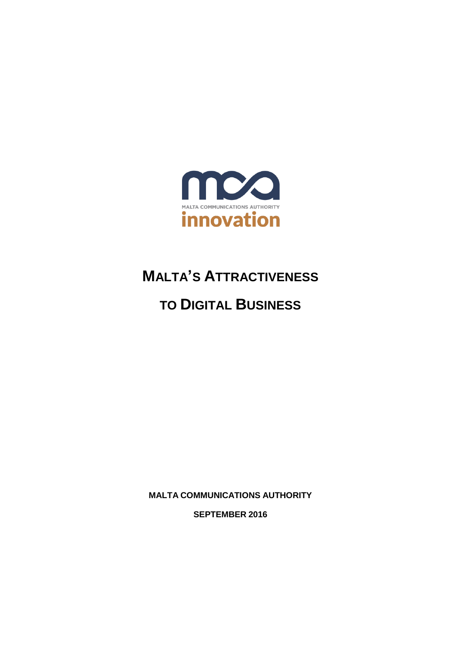

# **MALTA'S ATTRACTIVENESS**

# **TO DIGITAL BUSINESS**

**MALTA COMMUNICATIONS AUTHORITY**

**SEPTEMBER 2016**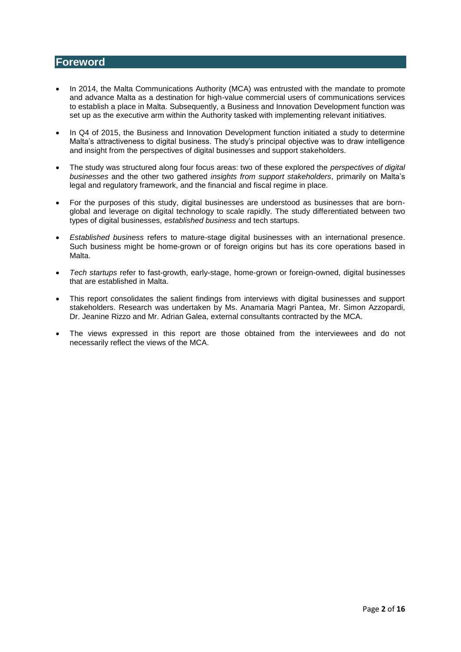#### **Foreword**

- In 2014, the Malta Communications Authority (MCA) was entrusted with the mandate to promote and advance Malta as a destination for high-value commercial users of communications services to establish a place in Malta. Subsequently, a Business and Innovation Development function was set up as the executive arm within the Authority tasked with implementing relevant initiatives.
- In Q4 of 2015, the Business and Innovation Development function initiated a study to determine Malta's attractiveness to digital business. The study's principal objective was to draw intelligence and insight from the perspectives of digital businesses and support stakeholders.
- The study was structured along four focus areas: two of these explored the *perspectives of digital businesses* and the other two gathered *insights from support stakeholders*, primarily on Malta's legal and regulatory framework, and the financial and fiscal regime in place.
- For the purposes of this study, digital businesses are understood as businesses that are bornglobal and leverage on digital technology to scale rapidly. The study differentiated between two types of digital businesses, *established business* and tech startups.
- *Established business* refers to mature-stage digital businesses with an international presence. Such business might be home-grown or of foreign origins but has its core operations based in Malta.
- *Tech startups* refer to fast-growth, early-stage, home-grown or foreign-owned, digital businesses that are established in Malta.
- This report consolidates the salient findings from interviews with digital businesses and support stakeholders. Research was undertaken by Ms. Anamaria Magri Pantea, Mr. Simon Azzopardi, Dr. Jeanine Rizzo and Mr. Adrian Galea, external consultants contracted by the MCA.
- The views expressed in this report are those obtained from the interviewees and do not necessarily reflect the views of the MCA.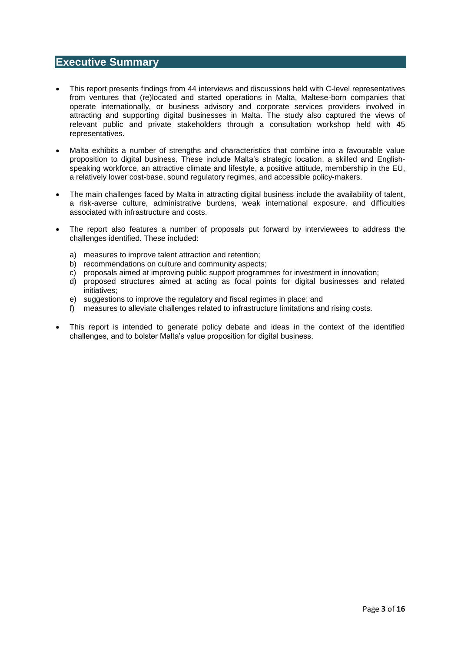#### **Executive Summary**

- This report presents findings from 44 interviews and discussions held with C-level representatives from ventures that (re)located and started operations in Malta, Maltese-born companies that operate internationally, or business advisory and corporate services providers involved in attracting and supporting digital businesses in Malta. The study also captured the views of relevant public and private stakeholders through a consultation workshop held with 45 representatives.
- Malta exhibits a number of strengths and characteristics that combine into a favourable value proposition to digital business. These include Malta's strategic location, a skilled and Englishspeaking workforce, an attractive climate and lifestyle, a positive attitude, membership in the EU, a relatively lower cost-base, sound regulatory regimes, and accessible policy-makers.
- The main challenges faced by Malta in attracting digital business include the availability of talent, a risk-averse culture, administrative burdens, weak international exposure, and difficulties associated with infrastructure and costs.
- The report also features a number of proposals put forward by interviewees to address the challenges identified. These included:
	- a) measures to improve talent attraction and retention;
	- b) recommendations on culture and community aspects;
	- c) proposals aimed at improving public support programmes for investment in innovation;
	- d) proposed structures aimed at acting as focal points for digital businesses and related initiatives;
	- e) suggestions to improve the regulatory and fiscal regimes in place; and
	- f) measures to alleviate challenges related to infrastructure limitations and rising costs.
- This report is intended to generate policy debate and ideas in the context of the identified challenges, and to bolster Malta's value proposition for digital business.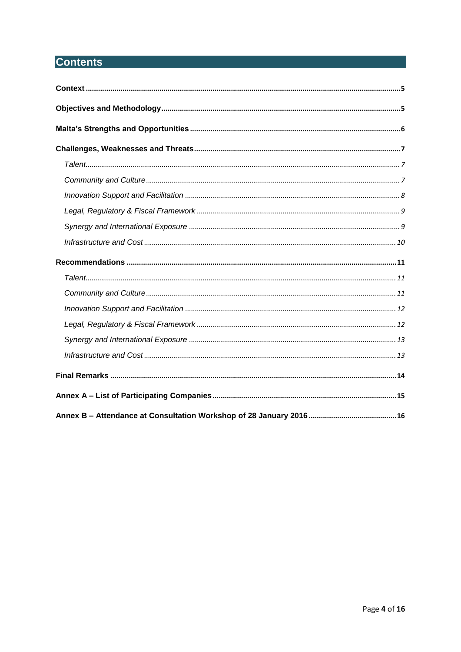# **Contents**

<span id="page-3-0"></span>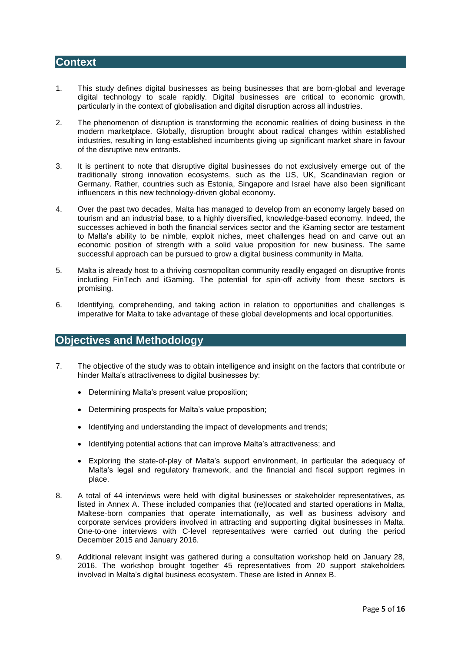#### **Context**

- 1. This study defines digital businesses as being businesses that are born-global and leverage digital technology to scale rapidly. Digital businesses are critical to economic growth, particularly in the context of globalisation and digital disruption across all industries.
- 2. The phenomenon of disruption is transforming the economic realities of doing business in the modern marketplace. Globally, disruption brought about radical changes within established industries, resulting in long-established incumbents giving up significant market share in favour of the disruptive new entrants.
- 3. It is pertinent to note that disruptive digital businesses do not exclusively emerge out of the traditionally strong innovation ecosystems, such as the US, UK, Scandinavian region or Germany. Rather, countries such as Estonia, Singapore and Israel have also been significant influencers in this new technology-driven global economy.
- 4. Over the past two decades, Malta has managed to develop from an economy largely based on tourism and an industrial base, to a highly diversified, knowledge-based economy. Indeed, the successes achieved in both the financial services sector and the iGaming sector are testament to Malta's ability to be nimble, exploit niches, meet challenges head on and carve out an economic position of strength with a solid value proposition for new business. The same successful approach can be pursued to grow a digital business community in Malta.
- 5. Malta is already host to a thriving cosmopolitan community readily engaged on disruptive fronts including FinTech and iGaming. The potential for spin-off activity from these sectors is promising.
- 6. Identifying, comprehending, and taking action in relation to opportunities and challenges is imperative for Malta to take advantage of these global developments and local opportunities.

#### <span id="page-4-0"></span>**Objectives and Methodology**

- 7. The objective of the study was to obtain intelligence and insight on the factors that contribute or hinder Malta's attractiveness to digital businesses by:
	- Determining Malta's present value proposition;
	- Determining prospects for Malta's value proposition;
	- Identifying and understanding the impact of developments and trends;
	- Identifying potential actions that can improve Malta's attractiveness; and
	- Exploring the state-of-play of Malta's support environment, in particular the adequacy of Malta's legal and regulatory framework, and the financial and fiscal support regimes in place.
- 8. A total of 44 interviews were held with digital businesses or stakeholder representatives, as listed in Annex A. These included companies that (re)located and started operations in Malta, Maltese-born companies that operate internationally, as well as business advisory and corporate services providers involved in attracting and supporting digital businesses in Malta. One-to-one interviews with C-level representatives were carried out during the period December 2015 and January 2016.
- 9. Additional relevant insight was gathered during a consultation workshop held on January 28, 2016. The workshop brought together 45 representatives from 20 support stakeholders involved in Malta's digital business ecosystem. These are listed in Annex B.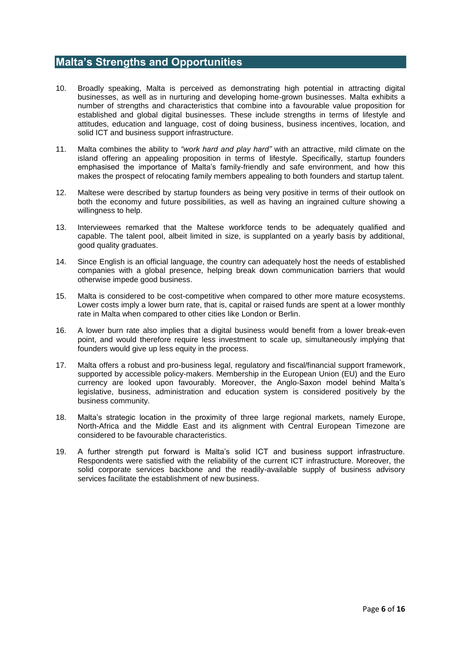# <span id="page-5-0"></span>**Malta's Strengths and Opportunities**

- 10. Broadly speaking, Malta is perceived as demonstrating high potential in attracting digital businesses, as well as in nurturing and developing home-grown businesses. Malta exhibits a number of strengths and characteristics that combine into a favourable value proposition for established and global digital businesses. These include strengths in terms of lifestyle and attitudes, education and language, cost of doing business, business incentives, location, and solid ICT and business support infrastructure.
- 11. Malta combines the ability to *"work hard and play hard"* with an attractive, mild climate on the island offering an appealing proposition in terms of lifestyle. Specifically, startup founders emphasised the importance of Malta's family-friendly and safe environment, and how this makes the prospect of relocating family members appealing to both founders and startup talent.
- 12. Maltese were described by startup founders as being very positive in terms of their outlook on both the economy and future possibilities, as well as having an ingrained culture showing a willingness to help.
- 13. Interviewees remarked that the Maltese workforce tends to be adequately qualified and capable. The talent pool, albeit limited in size, is supplanted on a yearly basis by additional, good quality graduates.
- 14. Since English is an official language, the country can adequately host the needs of established companies with a global presence, helping break down communication barriers that would otherwise impede good business.
- 15. Malta is considered to be cost-competitive when compared to other more mature ecosystems. Lower costs imply a lower burn rate, that is, capital or raised funds are spent at a lower monthly rate in Malta when compared to other cities like London or Berlin.
- 16. A lower burn rate also implies that a digital business would benefit from a lower break-even point, and would therefore require less investment to scale up, simultaneously implying that founders would give up less equity in the process.
- 17. Malta offers a robust and pro-business legal, regulatory and fiscal/financial support framework, supported by accessible policy-makers. Membership in the European Union (EU) and the Euro currency are looked upon favourably. Moreover, the Anglo-Saxon model behind Malta's legislative, business, administration and education system is considered positively by the business community.
- 18. Malta's strategic location in the proximity of three large regional markets, namely Europe, North-Africa and the Middle East and its alignment with Central European Timezone are considered to be favourable characteristics.
- <span id="page-5-1"></span>19. A further strength put forward is Malta's solid ICT and business support infrastructure. Respondents were satisfied with the reliability of the current ICT infrastructure. Moreover, the solid corporate services backbone and the readily-available supply of business advisory services facilitate the establishment of new business.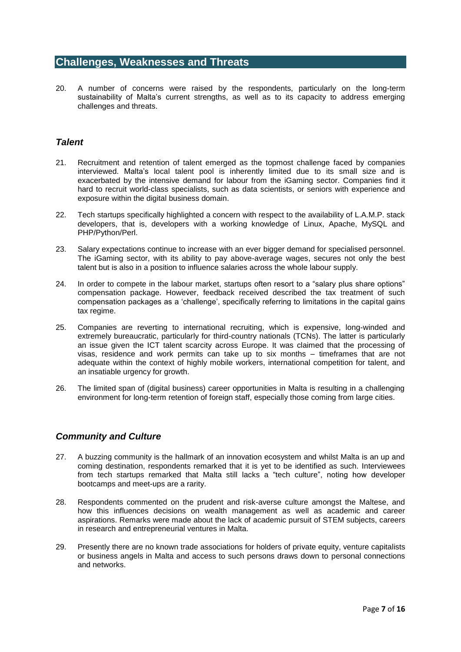#### **Challenges, Weaknesses and Threats**

20. A number of concerns were raised by the respondents, particularly on the long-term sustainability of Malta's current strengths, as well as to its capacity to address emerging challenges and threats.

#### <span id="page-6-0"></span>*Talent*

- 21. Recruitment and retention of talent emerged as the topmost challenge faced by companies interviewed. Malta's local talent pool is inherently limited due to its small size and is exacerbated by the intensive demand for labour from the iGaming sector. Companies find it hard to recruit world-class specialists, such as data scientists, or seniors with experience and exposure within the digital business domain.
- 22. Tech startups specifically highlighted a concern with respect to the availability of L.A.M.P. stack developers, that is, developers with a working knowledge of Linux, Apache, MySQL and PHP/Python/Perl.
- 23. Salary expectations continue to increase with an ever bigger demand for specialised personnel. The iGaming sector, with its ability to pay above-average wages, secures not only the best talent but is also in a position to influence salaries across the whole labour supply.
- 24. In order to compete in the labour market, startups often resort to a "salary plus share options" compensation package. However, feedback received described the tax treatment of such compensation packages as a 'challenge', specifically referring to limitations in the capital gains tax regime.
- 25. Companies are reverting to international recruiting, which is expensive, long-winded and extremely bureaucratic, particularly for third-country nationals (TCNs). The latter is particularly an issue given the ICT talent scarcity across Europe. It was claimed that the processing of visas, residence and work permits can take up to six months – timeframes that are not adequate within the context of highly mobile workers, international competition for talent, and an insatiable urgency for growth.
- 26. The limited span of (digital business) career opportunities in Malta is resulting in a challenging environment for long-term retention of foreign staff, especially those coming from large cities.

#### <span id="page-6-1"></span>*Community and Culture*

- 27. A buzzing community is the hallmark of an innovation ecosystem and whilst Malta is an up and coming destination, respondents remarked that it is yet to be identified as such. Interviewees from tech startups remarked that Malta still lacks a "tech culture", noting how developer bootcamps and meet-ups are a rarity.
- 28. Respondents commented on the prudent and risk-averse culture amongst the Maltese, and how this influences decisions on wealth management as well as academic and career aspirations. Remarks were made about the lack of academic pursuit of STEM subjects, careers in research and entrepreneurial ventures in Malta.
- 29. Presently there are no known trade associations for holders of private equity, venture capitalists or business angels in Malta and access to such persons draws down to personal connections and networks.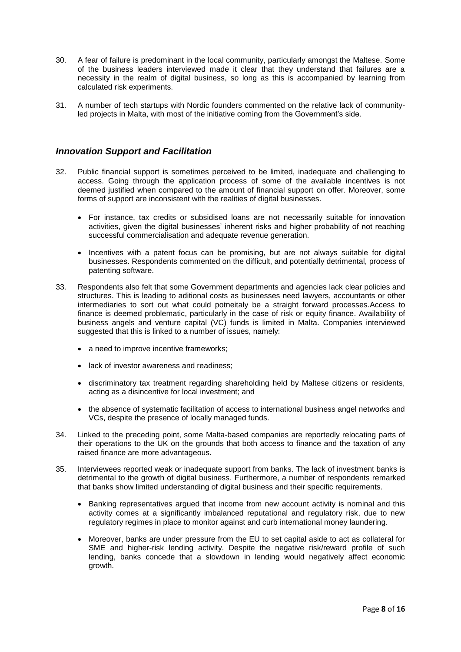- 30. A fear of failure is predominant in the local community, particularly amongst the Maltese. Some of the business leaders interviewed made it clear that they understand that failures are a necessity in the realm of digital business, so long as this is accompanied by learning from calculated risk experiments.
- 31. A number of tech startups with Nordic founders commented on the relative lack of communityled projects in Malta, with most of the initiative coming from the Government's side.

#### <span id="page-7-0"></span>*Innovation Support and Facilitation*

- 32. Public financial support is sometimes perceived to be limited, inadequate and challenging to access. Going through the application process of some of the available incentives is not deemed justified when compared to the amount of financial support on offer. Moreover, some forms of support are inconsistent with the realities of digital businesses.
	- For instance, tax credits or subsidised loans are not necessarily suitable for innovation activities, given the digital businesses' inherent risks and higher probability of not reaching successful commercialisation and adequate revenue generation.
	- Incentives with a patent focus can be promising, but are not always suitable for digital businesses. Respondents commented on the difficult, and potentially detrimental, process of patenting software.
- 33. Respondents also felt that some Government departments and agencies lack clear policies and structures. This is leading to aditional costs as businesses need lawyers, accountants or other intermediaries to sort out what could potneitaly be a straight forward processes.Access to finance is deemed problematic, particularly in the case of risk or equity finance. Availability of business angels and venture capital (VC) funds is limited in Malta. Companies interviewed suggested that this is linked to a number of issues, namely:
	- a need to improve incentive frameworks;
	- lack of investor awareness and readiness:
	- discriminatory tax treatment regarding shareholding held by Maltese citizens or residents, acting as a disincentive for local investment; and
	- the absence of systematic facilitation of access to international business angel networks and VCs, despite the presence of locally managed funds.
- 34. Linked to the preceding point, some Malta-based companies are reportedly relocating parts of their operations to the UK on the grounds that both access to finance and the taxation of any raised finance are more advantageous.
- 35. Interviewees reported weak or inadequate support from banks. The lack of investment banks is detrimental to the growth of digital business. Furthermore, a number of respondents remarked that banks show limited understanding of digital business and their specific requirements.
	- Banking representatives argued that income from new account activity is nominal and this activity comes at a significantly imbalanced reputational and regulatory risk, due to new regulatory regimes in place to monitor against and curb international money laundering.
	- Moreover, banks are under pressure from the EU to set capital aside to act as collateral for SME and higher-risk lending activity. Despite the negative risk/reward profile of such lending, banks concede that a slowdown in lending would negatively affect economic growth.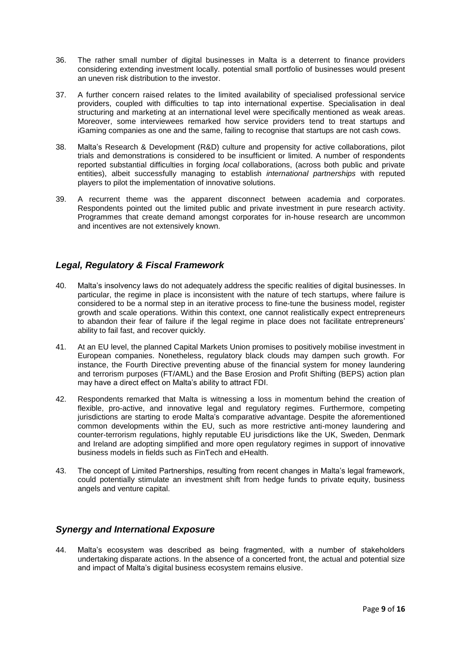- 36. The rather small number of digital businesses in Malta is a deterrent to finance providers considering extending investment locally. potential small portfolio of businesses would present an uneven risk distribution to the investor.
- 37. A further concern raised relates to the limited availability of specialised professional service providers, coupled with difficulties to tap into international expertise. Specialisation in deal structuring and marketing at an international level were specifically mentioned as weak areas. Moreover, some interviewees remarked how service providers tend to treat startups and iGaming companies as one and the same, failing to recognise that startups are not cash cows.
- 38. Malta's Research & Development (R&D) culture and propensity for active collaborations, pilot trials and demonstrations is considered to be insufficient or limited. A number of respondents reported substantial difficulties in forging *local* collaborations, (across both public and private entities), albeit successfully managing to establish *international partnerships* with reputed players to pilot the implementation of innovative solutions.
- 39. A recurrent theme was the apparent disconnect between academia and corporates. Respondents pointed out the limited public and private investment in pure research activity. Programmes that create demand amongst corporates for in-house research are uncommon and incentives are not extensively known.

### <span id="page-8-0"></span>*Legal, Regulatory & Fiscal Framework*

- 40. Malta's insolvency laws do not adequately address the specific realities of digital businesses. In particular, the regime in place is inconsistent with the nature of tech startups, where failure is considered to be a normal step in an iterative process to fine-tune the business model, register growth and scale operations. Within this context, one cannot realistically expect entrepreneurs to abandon their fear of failure if the legal regime in place does not facilitate entrepreneurs' ability to fail fast, and recover quickly.
- 41. At an EU level, the planned Capital Markets Union promises to positively mobilise investment in European companies. Nonetheless, regulatory black clouds may dampen such growth. For instance, the Fourth Directive preventing abuse of the financial system for money laundering and terrorism purposes (FT/AML) and the Base Erosion and Profit Shifting (BEPS) action plan may have a direct effect on Malta's ability to attract FDI.
- 42. Respondents remarked that Malta is witnessing a loss in momentum behind the creation of flexible, pro-active, and innovative legal and regulatory regimes. Furthermore, competing jurisdictions are starting to erode Malta's comparative advantage. Despite the aforementioned common developments within the EU, such as more restrictive anti-money laundering and counter-terrorism regulations, highly reputable EU jurisdictions like the UK, Sweden, Denmark and Ireland are adopting simplified and more open regulatory regimes in support of innovative business models in fields such as FinTech and eHealth.
- 43. The concept of Limited Partnerships, resulting from recent changes in Malta's legal framework, could potentially stimulate an investment shift from hedge funds to private equity, business angels and venture capital.

#### <span id="page-8-1"></span>*Synergy and International Exposure*

44. Malta's ecosystem was described as being fragmented, with a number of stakeholders undertaking disparate actions. In the absence of a concerted front, the actual and potential size and impact of Malta's digital business ecosystem remains elusive.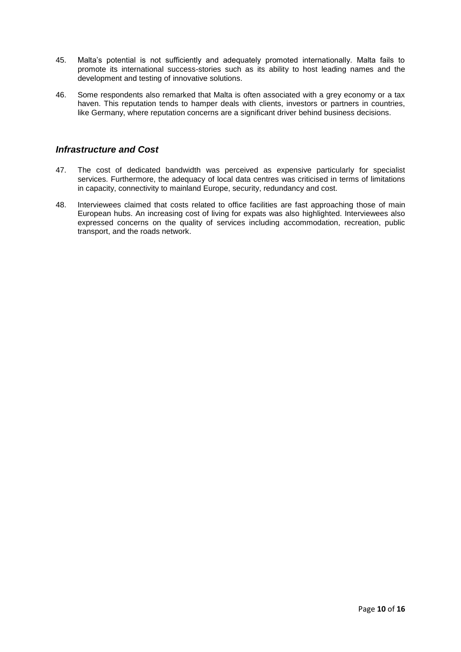- 45. Malta's potential is not sufficiently and adequately promoted internationally. Malta fails to promote its international success-stories such as its ability to host leading names and the development and testing of innovative solutions.
- 46. Some respondents also remarked that Malta is often associated with a grey economy or a tax haven. This reputation tends to hamper deals with clients, investors or partners in countries, like Germany, where reputation concerns are a significant driver behind business decisions.

#### <span id="page-9-0"></span>*Infrastructure and Cost*

- 47. The cost of dedicated bandwidth was perceived as expensive particularly for specialist services. Furthermore, the adequacy of local data centres was criticised in terms of limitations in capacity, connectivity to mainland Europe, security, redundancy and cost.
- <span id="page-9-1"></span>48. Interviewees claimed that costs related to office facilities are fast approaching those of main European hubs. An increasing cost of living for expats was also highlighted. Interviewees also expressed concerns on the quality of services including accommodation, recreation, public transport, and the roads network.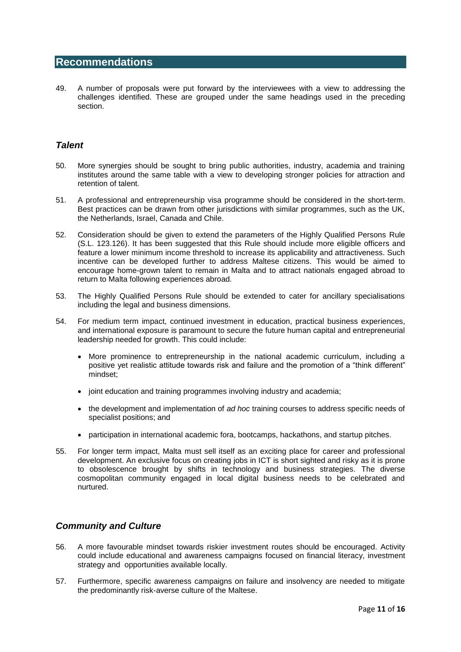## **Recommendations**

49. A number of proposals were put forward by the interviewees with a view to addressing the challenges identified. These are grouped under the same headings used in the preceding section.

#### <span id="page-10-0"></span>*Talent*

- 50. More synergies should be sought to bring public authorities, industry, academia and training institutes around the same table with a view to developing stronger policies for attraction and retention of talent.
- 51. A professional and entrepreneurship visa programme should be considered in the short-term. Best practices can be drawn from other jurisdictions with similar programmes, such as the UK, the Netherlands, Israel, Canada and Chile.
- 52. Consideration should be given to extend the parameters of the Highly Qualified Persons Rule (S.L. 123.126). It has been suggested that this Rule should include more eligible officers and feature a lower minimum income threshold to increase its applicability and attractiveness. Such incentive can be developed further to address Maltese citizens. This would be aimed to encourage home-grown talent to remain in Malta and to attract nationals engaged abroad to return to Malta following experiences abroad.
- 53. The Highly Qualified Persons Rule should be extended to cater for ancillary specialisations including the legal and business dimensions.
- 54. For medium term impact, continued investment in education, practical business experiences, and international exposure is paramount to secure the future human capital and entrepreneurial leadership needed for growth. This could include:
	- More prominence to entrepreneurship in the national academic curriculum, including a positive yet realistic attitude towards risk and failure and the promotion of a "think different" mindset;
	- joint education and training programmes involving industry and academia;
	- the development and implementation of *ad hoc* training courses to address specific needs of specialist positions; and
	- participation in international academic fora, bootcamps, hackathons, and startup pitches.
- 55. For longer term impact, Malta must sell itself as an exciting place for career and professional development. An exclusive focus on creating jobs in ICT is short sighted and risky as it is prone to obsolescence brought by shifts in technology and business strategies. The diverse cosmopolitan community engaged in local digital business needs to be celebrated and nurtured.

#### <span id="page-10-1"></span>*Community and Culture*

- 56. A more favourable mindset towards riskier investment routes should be encouraged. Activity could include educational and awareness campaigns focused on financial literacy, investment strategy and opportunities available locally.
- 57. Furthermore, specific awareness campaigns on failure and insolvency are needed to mitigate the predominantly risk-averse culture of the Maltese.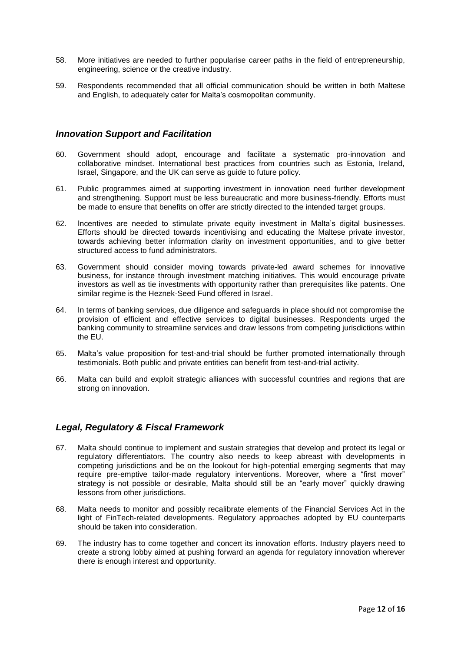- 58. More initiatives are needed to further popularise career paths in the field of entrepreneurship, engineering, science or the creative industry.
- 59. Respondents recommended that all official communication should be written in both Maltese and English, to adequately cater for Malta's cosmopolitan community.

#### <span id="page-11-0"></span>*Innovation Support and Facilitation*

- 60. Government should adopt, encourage and facilitate a systematic pro-innovation and collaborative mindset. International best practices from countries such as Estonia, Ireland, Israel, Singapore, and the UK can serve as guide to future policy.
- 61. Public programmes aimed at supporting investment in innovation need further development and strengthening. Support must be less bureaucratic and more business-friendly. Efforts must be made to ensure that benefits on offer are strictly directed to the intended target groups.
- 62. Incentives are needed to stimulate private equity investment in Malta's digital businesses. Efforts should be directed towards incentivising and educating the Maltese private investor, towards achieving better information clarity on investment opportunities, and to give better structured access to fund administrators.
- 63. Government should consider moving towards private-led award schemes for innovative business, for instance through investment matching initiatives. This would encourage private investors as well as tie investments with opportunity rather than prerequisites like patents. One similar regime is the Heznek-Seed Fund offered in Israel.
- 64. In terms of banking services, due diligence and safeguards in place should not compromise the provision of efficient and effective services to digital businesses. Respondents urged the banking community to streamline services and draw lessons from competing jurisdictions within the EU.
- 65. Malta's value proposition for test-and-trial should be further promoted internationally through testimonials. Both public and private entities can benefit from test-and-trial activity.
- 66. Malta can build and exploit strategic alliances with successful countries and regions that are strong on innovation.

#### <span id="page-11-1"></span>*Legal, Regulatory & Fiscal Framework*

- 67. Malta should continue to implement and sustain strategies that develop and protect its legal or regulatory differentiators. The country also needs to keep abreast with developments in competing jurisdictions and be on the lookout for high-potential emerging segments that may require pre-emptive tailor-made regulatory interventions. Moreover, where a "first mover" strategy is not possible or desirable, Malta should still be an "early mover" quickly drawing lessons from other jurisdictions.
- 68. Malta needs to monitor and possibly recalibrate elements of the Financial Services Act in the light of FinTech-related developments. Regulatory approaches adopted by EU counterparts should be taken into consideration.
- 69. The industry has to come together and concert its innovation efforts. Industry players need to create a strong lobby aimed at pushing forward an agenda for regulatory innovation wherever there is enough interest and opportunity.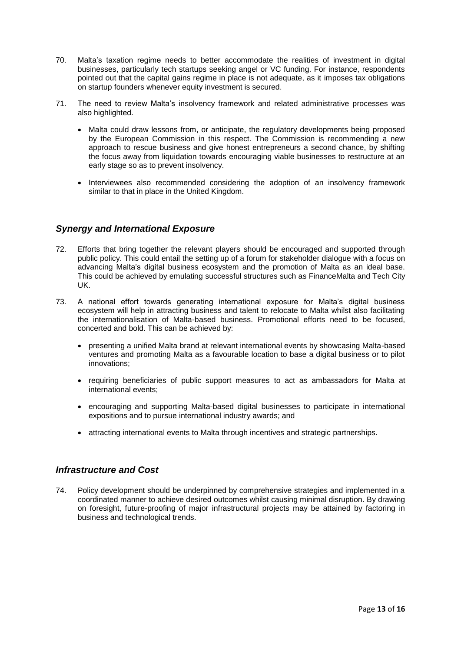- 70. Malta's taxation regime needs to better accommodate the realities of investment in digital businesses, particularly tech startups seeking angel or VC funding. For instance, respondents pointed out that the capital gains regime in place is not adequate, as it imposes tax obligations on startup founders whenever equity investment is secured.
- 71. The need to review Malta's insolvency framework and related administrative processes was also highlighted.
	- Malta could draw lessons from, or anticipate, the regulatory developments being proposed by the European Commission in this respect. The Commission is recommending a new approach to rescue business and give honest entrepreneurs a second chance, by shifting the focus away from liquidation towards encouraging viable businesses to restructure at an early stage so as to prevent insolvency.
	- Interviewees also recommended considering the adoption of an insolvency framework similar to that in place in the United Kingdom.

#### <span id="page-12-0"></span>*Synergy and International Exposure*

- 72. Efforts that bring together the relevant players should be encouraged and supported through public policy. This could entail the setting up of a forum for stakeholder dialogue with a focus on advancing Malta's digital business ecosystem and the promotion of Malta as an ideal base. This could be achieved by emulating successful structures such as FinanceMalta and Tech City UK.
- 73. A national effort towards generating international exposure for Malta's digital business ecosystem will help in attracting business and talent to relocate to Malta whilst also facilitating the internationalisation of Malta-based business. Promotional efforts need to be focused, concerted and bold. This can be achieved by:
	- presenting a unified Malta brand at relevant international events by showcasing Malta-based ventures and promoting Malta as a favourable location to base a digital business or to pilot innovations;
	- requiring beneficiaries of public support measures to act as ambassadors for Malta at international events;
	- encouraging and supporting Malta-based digital businesses to participate in international expositions and to pursue international industry awards; and
	- attracting international events to Malta through incentives and strategic partnerships.

#### <span id="page-12-1"></span>*Infrastructure and Cost*

<span id="page-12-2"></span>74. Policy development should be underpinned by comprehensive strategies and implemented in a coordinated manner to achieve desired outcomes whilst causing minimal disruption. By drawing on foresight, future-proofing of major infrastructural projects may be attained by factoring in business and technological trends.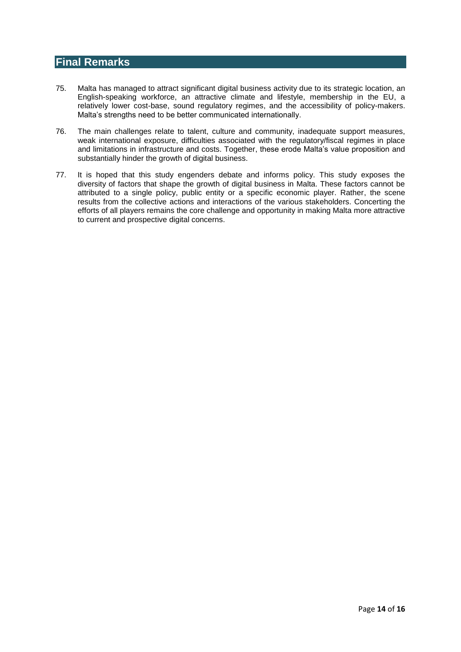## **Final Remarks**

- 75. Malta has managed to attract significant digital business activity due to its strategic location, an English-speaking workforce, an attractive climate and lifestyle, membership in the EU, a relatively lower cost-base, sound regulatory regimes, and the accessibility of policy-makers. Malta's strengths need to be better communicated internationally.
- 76. The main challenges relate to talent, culture and community, inadequate support measures, weak international exposure, difficulties associated with the regulatory/fiscal regimes in place and limitations in infrastructure and costs. Together, these erode Malta's value proposition and substantially hinder the growth of digital business.
- 77. It is hoped that this study engenders debate and informs policy. This study exposes the diversity of factors that shape the growth of digital business in Malta. These factors cannot be attributed to a single policy, public entity or a specific economic player. Rather, the scene results from the collective actions and interactions of the various stakeholders. Concerting the efforts of all players remains the core challenge and opportunity in making Malta more attractive to current and prospective digital concerns.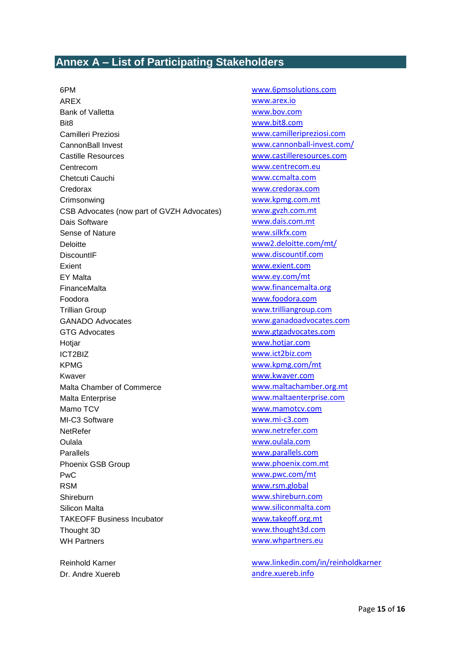# <span id="page-14-0"></span>**Annex A – List of Participating Stakeholders**

AREX [www.arex.io](http://www.arex.io/) Bank of Valletta [www.bov.com](http://www.bov.com/) Bit8 [www.bit8.com](http://www.bit8.com/) Camilleri Preziosi [www.camilleripreziosi.com](http://www.camilleripreziosi.com/) CannonBall Invest [www.cannonball-invest.com/](http://www.cannonball-invest.com/) Castille Resources [www.castilleresources.com](http://www.castilleresources.com/) Centrecom [www.centrecom.eu](http://www.centrecom.eu/) Chetcuti Cauchi [www.ccmalta.com](http://www.ccmalta.com/) Credorax [www.credorax.com](http://www.credorax.com/) Crimsonwing [www.kpmg.com.mt](http://www.kpmg.com.mt/) CSB Advocates (now part of GVZH Advocates) [www.gvzh.com.mt](http://www.gvzh.com.mt/) Dais Software **WALLOCAL COMPOSE COMPOSE** Sense of Nature [www.silkfx.com](http://www.silkfx.com/) Deloitte [www2.deloitte.com/mt/](file:///C:/Users/bagius/Google%20Drive/Innovation/Thrust%202%20Building%20Innovation%20Intelligence/Value-Chain%20mapping/REPORT/www2.deloitte.com/mt/) DiscountIF [www.discountif.com](http://www.discountif.com/) Exient [www.exient.com](http://www.exient.com/) EY Malta [www.ey.com/mt](http://www.ey.com/mt) FinanceMalta [www.financemalta.org](http://www.financemalta.org/) Foodora [www.foodora.com](http://www.foodora.com/) Trillian Group [www.trilliangroup.com](http://www.trilliangroup.com/) GANADO Advocates [www.ganadoadvocates.com](http://www.ganadoadvocates.com/) GTG Advocates [www.gtgadvocates.com](http://www.gtgadvocates.com/) Hotjar [www.hotjar.com](http://www.hotjar.com/) ICT2BIZ [www.ict2biz.com](http://www.ict2biz.com/) KPMG [www.kpmg.com/mt](http://www.kpmg.com/mt) Kwaver [www.kwaver.com](http://www.kwaver.com/) Malta Chamber of Commerce [www.maltachamber.org.mt](http://www.maltachamber.org.mt/) Malta Enterprise [www.maltaenterprise.com](http://www.maltaenterprise.com/) Mamo TCV [www.mamotcv.com](http://www.mamotcv.com/) MI-C3 Software [www.mi-c3.com](http://www.mi-c3.com/) NetRefer [www.netrefer.com](http://www.netrefer.com/) Oulala [www.oulala.com](http://www.oulala.com/) Parallels [www.parallels.com](http://www.parallels.com/) Phoenix GSB Group [www.phoenix.com.mt](http://www.phoenix.com.mt/) PwC [www.pwc.com/mt](http://www.pwc.com/mt) RSM [www.rsm.global](http://www.rsm.global/) Shireburn [www.shireburn.com](http://www.shireburn.com/) Silicon Malta [www.siliconmalta.com](http://www.siliconmalta.com/) TAKEOFF Business Incubator WWW.takeoff.org.mt Thought 3D [www.thought3d.com](http://www.thought3d.com/) WH Partners **WH Partners** WH Partners **WH Partners** WH Partners **WH** 2007

6PM www.6pmsolutions.com

Reinhold Karner [www.linkedin.com/in/reinholdkarner](http://www.linkedin.com/in/reinholdkarner) Dr. Andre Xuereb [andre.xuereb.info](file:///C:/Users/bagius/Google%20Drive/Innovation/Thrust%202%20Building%20Innovation%20Intelligence/Value-Chain%20mapping/REPORT/andre.xuereb.info)